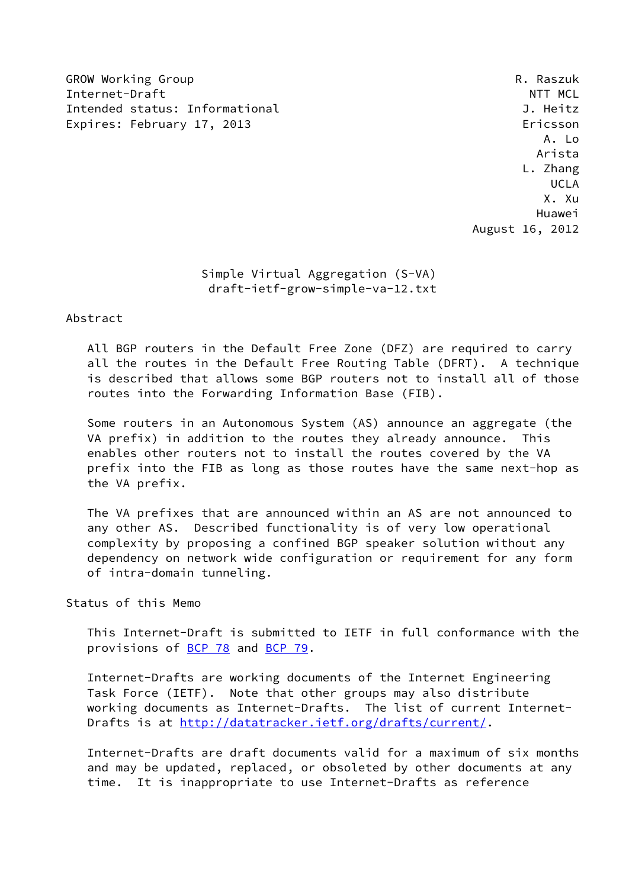GROW Working Group **Research Communist Communist Communist Communist Communist Communist Communist Communist Co** Internet-Draft  $\blacksquare$ Intended status: Informational J. Heitz Expires: February 17, 2013 **Expires: Expires: February 17, 2013** 

 A. Lo Arista L. Zhang UCLA X. Xu Huawei August 16, 2012

# Simple Virtual Aggregation (S-VA) draft-ietf-grow-simple-va-12.txt

## Abstract

 All BGP routers in the Default Free Zone (DFZ) are required to carry all the routes in the Default Free Routing Table (DFRT). A technique is described that allows some BGP routers not to install all of those routes into the Forwarding Information Base (FIB).

 Some routers in an Autonomous System (AS) announce an aggregate (the VA prefix) in addition to the routes they already announce. This enables other routers not to install the routes covered by the VA prefix into the FIB as long as those routes have the same next-hop as the VA prefix.

 The VA prefixes that are announced within an AS are not announced to any other AS. Described functionality is of very low operational complexity by proposing a confined BGP speaker solution without any dependency on network wide configuration or requirement for any form of intra-domain tunneling.

# Status of this Memo

 This Internet-Draft is submitted to IETF in full conformance with the provisions of [BCP 78](https://datatracker.ietf.org/doc/pdf/bcp78) and [BCP 79](https://datatracker.ietf.org/doc/pdf/bcp79).

 Internet-Drafts are working documents of the Internet Engineering Task Force (IETF). Note that other groups may also distribute working documents as Internet-Drafts. The list of current Internet Drafts is at<http://datatracker.ietf.org/drafts/current/>.

 Internet-Drafts are draft documents valid for a maximum of six months and may be updated, replaced, or obsoleted by other documents at any time. It is inappropriate to use Internet-Drafts as reference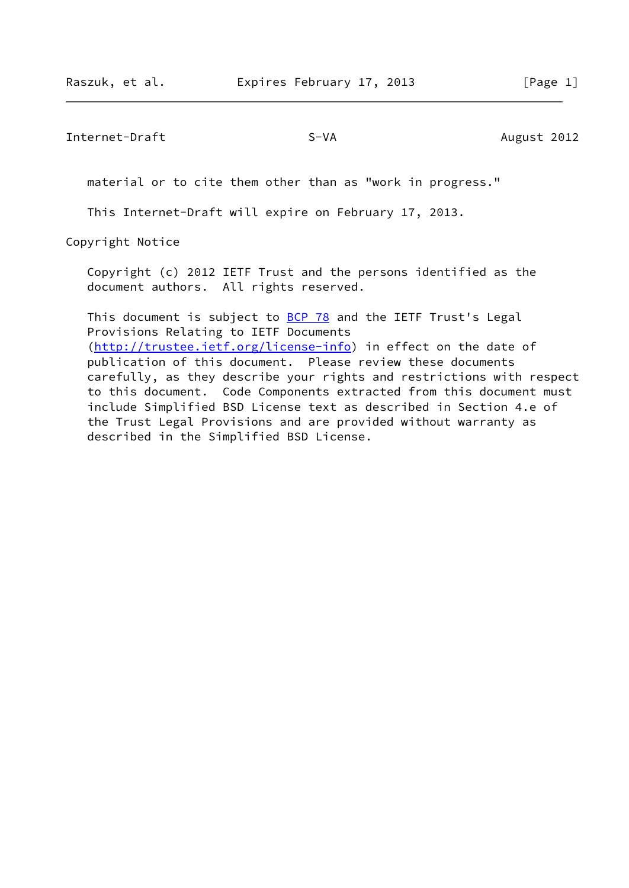Internet-Draft S-VA S-VA August 2012

material or to cite them other than as "work in progress."

This Internet-Draft will expire on February 17, 2013.

Copyright Notice

 Copyright (c) 2012 IETF Trust and the persons identified as the document authors. All rights reserved.

This document is subject to **[BCP 78](https://datatracker.ietf.org/doc/pdf/bcp78)** and the IETF Trust's Legal Provisions Relating to IETF Documents [\(http://trustee.ietf.org/license-info](http://trustee.ietf.org/license-info)) in effect on the date of publication of this document. Please review these documents carefully, as they describe your rights and restrictions with respect to this document. Code Components extracted from this document must include Simplified BSD License text as described in Section 4.e of the Trust Legal Provisions and are provided without warranty as described in the Simplified BSD License.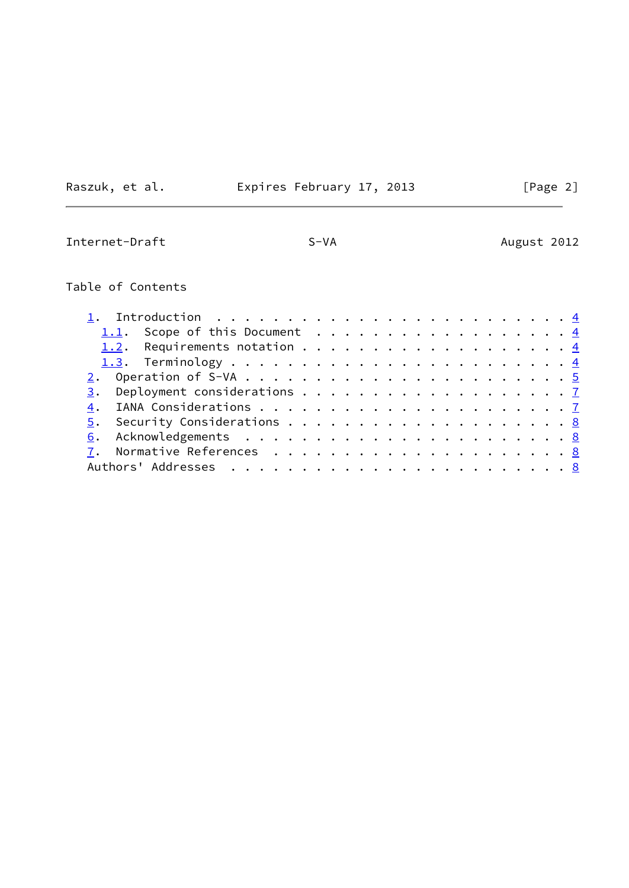Raszuk, et al. Expires February 17, 2013 [Page 2]

# $\overline{\phantom{0}}$

Internet-Draft S-VA S-VA August 2012

# Table of Contents

| 1. Introduction $\ldots \ldots \ldots \ldots \ldots \ldots \ldots \ldots \ldots$ |  |
|----------------------------------------------------------------------------------|--|
| 1.1. Scope of this Document 4                                                    |  |
|                                                                                  |  |
|                                                                                  |  |
|                                                                                  |  |
|                                                                                  |  |
|                                                                                  |  |
|                                                                                  |  |
|                                                                                  |  |
|                                                                                  |  |
|                                                                                  |  |
|                                                                                  |  |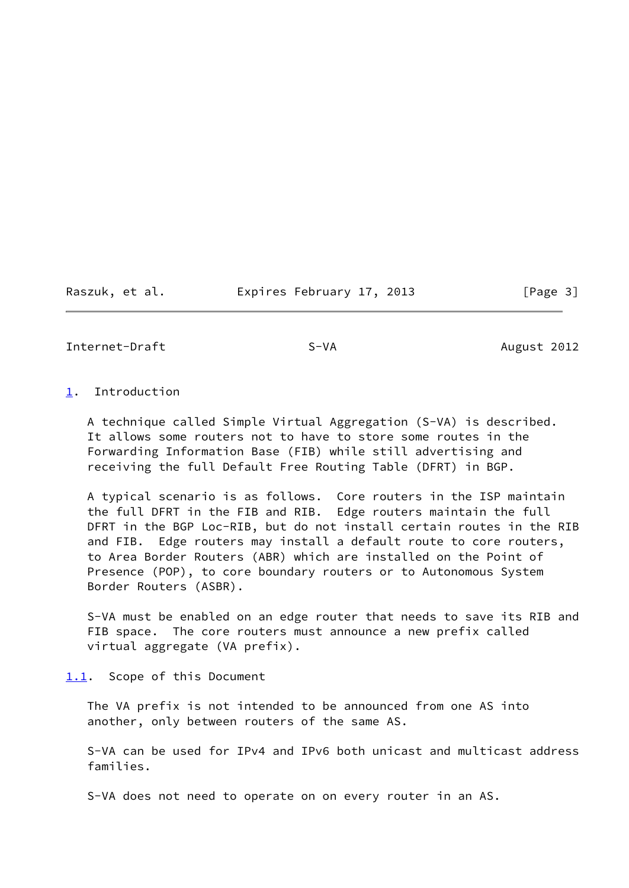Raszuk, et al. **Expires February 17, 2013** [Page 3]

<span id="page-3-1"></span>Internet-Draft S-VA S-VA August 2012

# <span id="page-3-0"></span>[1](#page-3-0). Introduction

 A technique called Simple Virtual Aggregation (S-VA) is described. It allows some routers not to have to store some routes in the Forwarding Information Base (FIB) while still advertising and receiving the full Default Free Routing Table (DFRT) in BGP.

 A typical scenario is as follows. Core routers in the ISP maintain the full DFRT in the FIB and RIB. Edge routers maintain the full DFRT in the BGP Loc-RIB, but do not install certain routes in the RIB and FIB. Edge routers may install a default route to core routers, to Area Border Routers (ABR) which are installed on the Point of Presence (POP), to core boundary routers or to Autonomous System Border Routers (ASBR).

 S-VA must be enabled on an edge router that needs to save its RIB and FIB space. The core routers must announce a new prefix called virtual aggregate (VA prefix).

<span id="page-3-2"></span>[1.1](#page-3-2). Scope of this Document

 The VA prefix is not intended to be announced from one AS into another, only between routers of the same AS.

 S-VA can be used for IPv4 and IPv6 both unicast and multicast address families.

S-VA does not need to operate on on every router in an AS.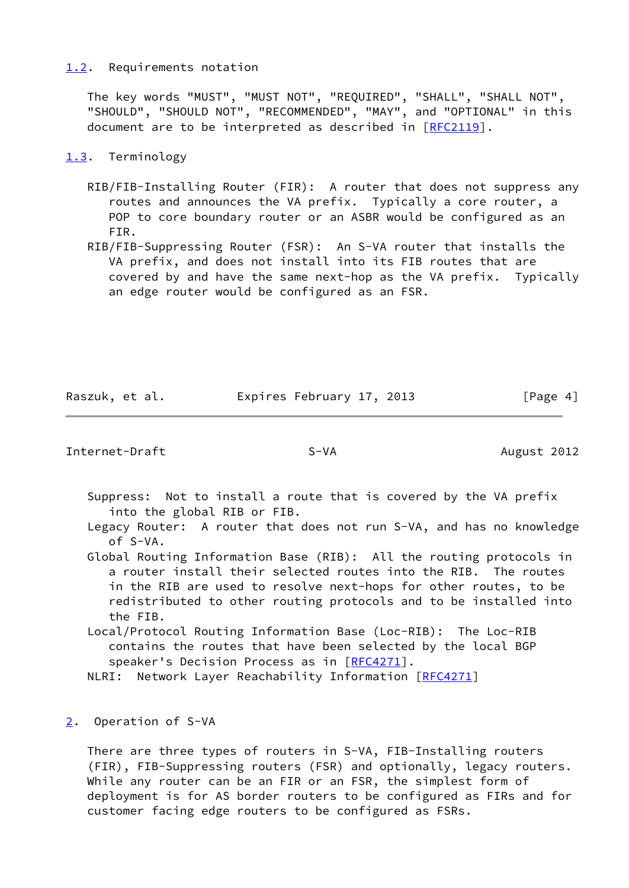### <span id="page-4-0"></span>[1.2](#page-4-0). Requirements notation

 The key words "MUST", "MUST NOT", "REQUIRED", "SHALL", "SHALL NOT", "SHOULD", "SHOULD NOT", "RECOMMENDED", "MAY", and "OPTIONAL" in this document are to be interpreted as described in [\[RFC2119](https://datatracker.ietf.org/doc/pdf/rfc2119)].

# <span id="page-4-1"></span>[1.3](#page-4-1). Terminology

- RIB/FIB-Installing Router (FIR): A router that does not suppress any routes and announces the VA prefix. Typically a core router, a POP to core boundary router or an ASBR would be configured as an FIR.
- RIB/FIB-Suppressing Router (FSR): An S-VA router that installs the VA prefix, and does not install into its FIB routes that are covered by and have the same next-hop as the VA prefix. Typically an edge router would be configured as an FSR.

Raszuk, et al. **Expires February 17, 2013** [Page 4]

<span id="page-4-3"></span>Internet-Draft S-VA S-VA August 2012

- Suppress: Not to install a route that is covered by the VA prefix into the global RIB or FIB.
- Legacy Router: A router that does not run S-VA, and has no knowledge of S-VA.
- Global Routing Information Base (RIB): All the routing protocols in a router install their selected routes into the RIB. The routes in the RIB are used to resolve next-hops for other routes, to be redistributed to other routing protocols and to be installed into the FIB.
- Local/Protocol Routing Information Base (Loc-RIB): The Loc-RIB contains the routes that have been selected by the local BGP speaker's Decision Process as in [\[RFC4271](https://datatracker.ietf.org/doc/pdf/rfc4271)].
- NLRI: Network Layer Reachability Information [[RFC4271](https://datatracker.ietf.org/doc/pdf/rfc4271)]

# <span id="page-4-2"></span>[2](#page-4-2). Operation of S-VA

 There are three types of routers in S-VA, FIB-Installing routers (FIR), FIB-Suppressing routers (FSR) and optionally, legacy routers. While any router can be an FIR or an FSR, the simplest form of deployment is for AS border routers to be configured as FIRs and for customer facing edge routers to be configured as FSRs.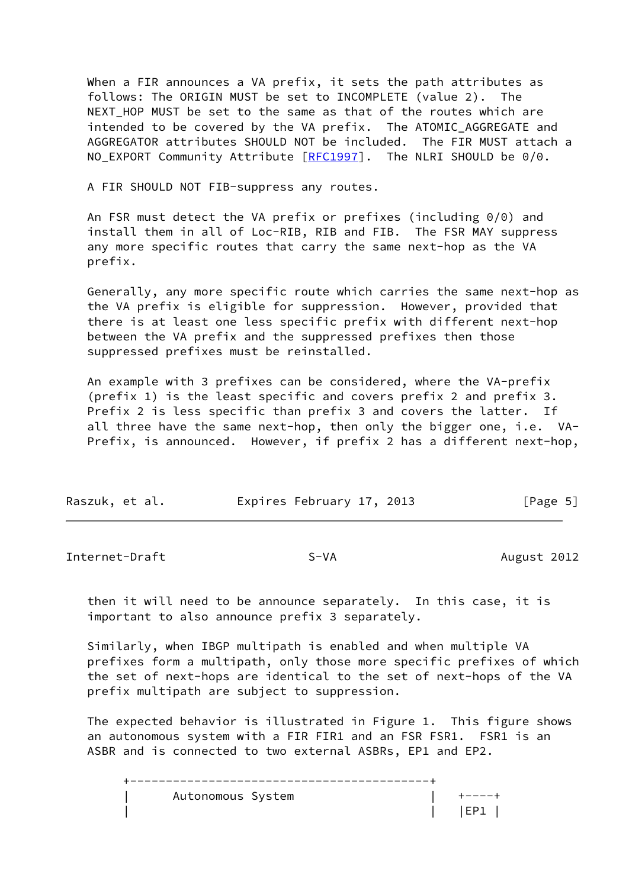When a FIR announces a VA prefix, it sets the path attributes as follows: The ORIGIN MUST be set to INCOMPLETE (value 2). The NEXT\_HOP MUST be set to the same as that of the routes which are intended to be covered by the VA prefix. The ATOMIC AGGREGATE and AGGREGATOR attributes SHOULD NOT be included. The FIR MUST attach a NO EXPORT Community Attribute [[RFC1997](https://datatracker.ietf.org/doc/pdf/rfc1997)]. The NLRI SHOULD be 0/0.

A FIR SHOULD NOT FIB-suppress any routes.

 An FSR must detect the VA prefix or prefixes (including 0/0) and install them in all of Loc-RIB, RIB and FIB. The FSR MAY suppress any more specific routes that carry the same next-hop as the VA prefix.

 Generally, any more specific route which carries the same next-hop as the VA prefix is eligible for suppression. However, provided that there is at least one less specific prefix with different next-hop between the VA prefix and the suppressed prefixes then those suppressed prefixes must be reinstalled.

 An example with 3 prefixes can be considered, where the VA-prefix (prefix 1) is the least specific and covers prefix 2 and prefix 3. Prefix 2 is less specific than prefix 3 and covers the latter. If all three have the same next-hop, then only the bigger one, i.e. VA- Prefix, is announced. However, if prefix 2 has a different next-hop,

| Raszuk, et al. | Expires February 17, 2013 | [Page 5] |
|----------------|---------------------------|----------|
|----------------|---------------------------|----------|

Internet-Draft S-VA S-VA August 2012

 then it will need to be announce separately. In this case, it is important to also announce prefix 3 separately.

 Similarly, when IBGP multipath is enabled and when multiple VA prefixes form a multipath, only those more specific prefixes of which the set of next-hops are identical to the set of next-hops of the VA prefix multipath are subject to suppression.

 The expected behavior is illustrated in Figure 1. This figure shows an autonomous system with a FIR FIR1 and an FSR FSR1. FSR1 is an ASBR and is connected to two external ASBRs, EP1 and EP2.

 +------------------------------------------+ Autonomous System  $\vert$  +----+ | | |EP1 |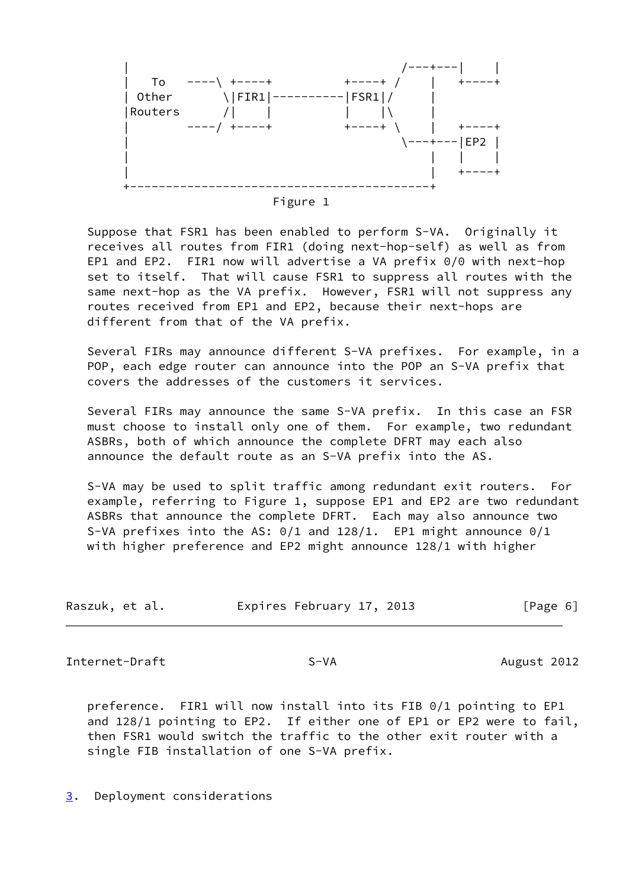



 Suppose that FSR1 has been enabled to perform S-VA. Originally it receives all routes from FIR1 (doing next-hop-self) as well as from EP1 and EP2. FIR1 now will advertise a VA prefix 0/0 with next-hop set to itself. That will cause FSR1 to suppress all routes with the same next-hop as the VA prefix. However, FSR1 will not suppress any routes received from EP1 and EP2, because their next-hops are different from that of the VA prefix.

 Several FIRs may announce different S-VA prefixes. For example, in a POP, each edge router can announce into the POP an S-VA prefix that covers the addresses of the customers it services.

 Several FIRs may announce the same S-VA prefix. In this case an FSR must choose to install only one of them. For example, two redundant ASBRs, both of which announce the complete DFRT may each also announce the default route as an S-VA prefix into the AS.

 S-VA may be used to split traffic among redundant exit routers. For example, referring to Figure 1, suppose EP1 and EP2 are two redundant ASBRs that announce the complete DFRT. Each may also announce two S-VA prefixes into the AS: 0/1 and 128/1. EP1 might announce 0/1 with higher preference and EP2 might announce 128/1 with higher

| Raszuk, et al. | Expires February 17, 2013 | [Page 6] |
|----------------|---------------------------|----------|
|----------------|---------------------------|----------|

<span id="page-6-1"></span>Internet-Draft S-VA S-VA August 2012

 preference. FIR1 will now install into its FIB 0/1 pointing to EP1 and 128/1 pointing to EP2. If either one of EP1 or EP2 were to fail, then FSR1 would switch the traffic to the other exit router with a single FIB installation of one S-VA prefix.

<span id="page-6-0"></span>[3](#page-6-0). Deployment considerations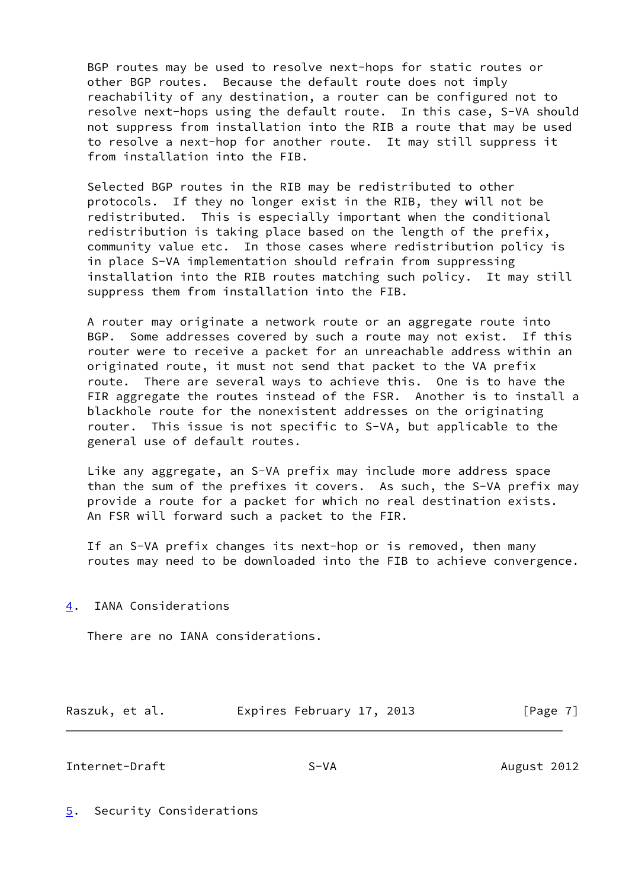BGP routes may be used to resolve next-hops for static routes or other BGP routes. Because the default route does not imply reachability of any destination, a router can be configured not to resolve next-hops using the default route. In this case, S-VA should not suppress from installation into the RIB a route that may be used to resolve a next-hop for another route. It may still suppress it from installation into the FIB.

 Selected BGP routes in the RIB may be redistributed to other protocols. If they no longer exist in the RIB, they will not be redistributed. This is especially important when the conditional redistribution is taking place based on the length of the prefix, community value etc. In those cases where redistribution policy is in place S-VA implementation should refrain from suppressing installation into the RIB routes matching such policy. It may still suppress them from installation into the FIB.

 A router may originate a network route or an aggregate route into BGP. Some addresses covered by such a route may not exist. If this router were to receive a packet for an unreachable address within an originated route, it must not send that packet to the VA prefix route. There are several ways to achieve this. One is to have the FIR aggregate the routes instead of the FSR. Another is to install a blackhole route for the nonexistent addresses on the originating router. This issue is not specific to S-VA, but applicable to the general use of default routes.

 Like any aggregate, an S-VA prefix may include more address space than the sum of the prefixes it covers. As such, the S-VA prefix may provide a route for a packet for which no real destination exists. An FSR will forward such a packet to the FIR.

 If an S-VA prefix changes its next-hop or is removed, then many routes may need to be downloaded into the FIB to achieve convergence.

<span id="page-7-0"></span>[4](#page-7-0). IANA Considerations

There are no IANA considerations.

Raszuk, et al. **Expires February 17, 2013** [Page 7]

<span id="page-7-2"></span>Internet-Draft S-VA S-VA August 2012

<span id="page-7-1"></span>[5](#page-7-1). Security Considerations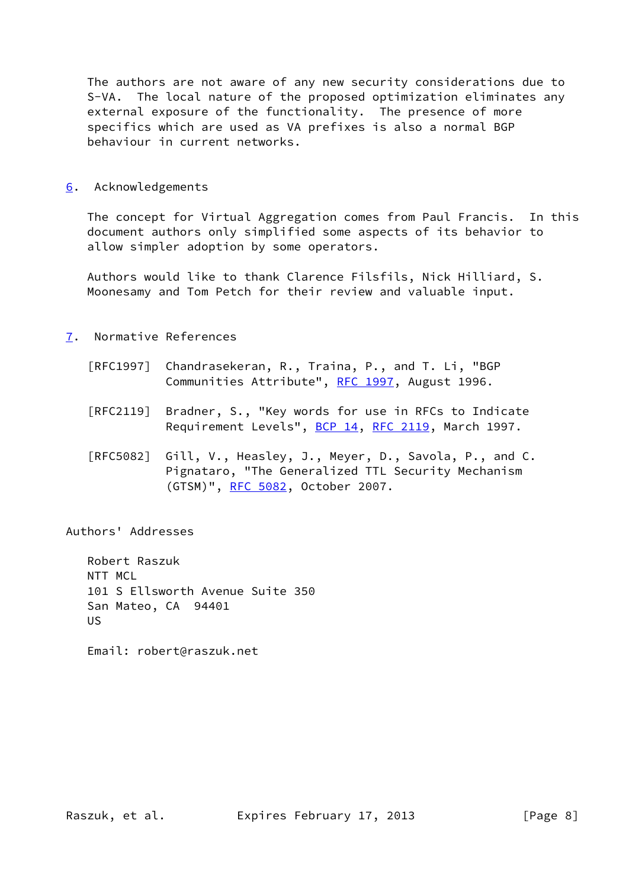The authors are not aware of any new security considerations due to S-VA. The local nature of the proposed optimization eliminates any external exposure of the functionality. The presence of more specifics which are used as VA prefixes is also a normal BGP behaviour in current networks.

<span id="page-8-0"></span>[6](#page-8-0). Acknowledgements

 The concept for Virtual Aggregation comes from Paul Francis. In this document authors only simplified some aspects of its behavior to allow simpler adoption by some operators.

 Authors would like to thank Clarence Filsfils, Nick Hilliard, S. Moonesamy and Tom Petch for their review and valuable input.

- <span id="page-8-1"></span>[7](#page-8-1). Normative References
	- [RFC1997] Chandrasekeran, R., Traina, P., and T. Li, "BGP Communities Attribute", [RFC 1997,](https://datatracker.ietf.org/doc/pdf/rfc1997) August 1996.
	- [RFC2119] Bradner, S., "Key words for use in RFCs to Indicate Requirement Levels", [BCP 14](https://datatracker.ietf.org/doc/pdf/bcp14), [RFC 2119](https://datatracker.ietf.org/doc/pdf/rfc2119), March 1997.
	- [RFC5082] Gill, V., Heasley, J., Meyer, D., Savola, P., and C. Pignataro, "The Generalized TTL Security Mechanism (GTSM)", [RFC 5082,](https://datatracker.ietf.org/doc/pdf/rfc5082) October 2007.

Authors' Addresses

 Robert Raszuk NTT MCL 101 S Ellsworth Avenue Suite 350 San Mateo, CA 94401 US

Email: robert@raszuk.net